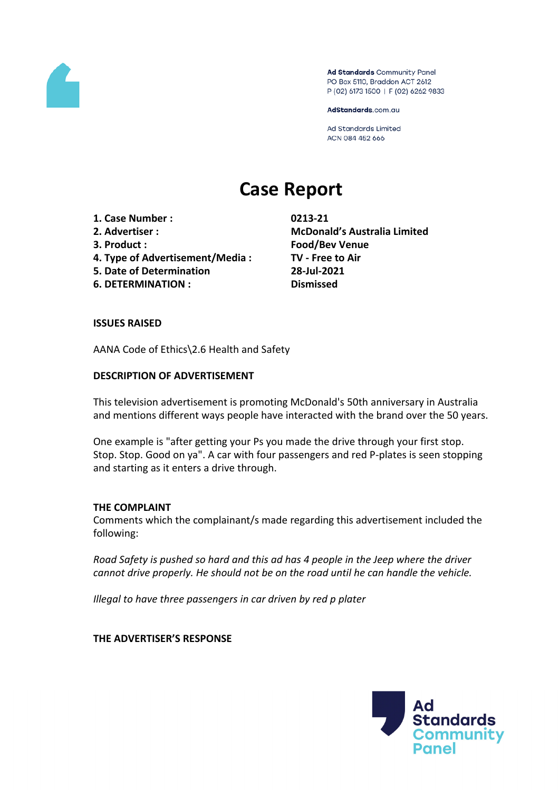

Ad Standards Community Panel PO Box 5110, Braddon ACT 2612 P (02) 6173 1500 | F (02) 6262 9833

AdStandards.com.au

Ad Standards Limited ACN 084 452 666

# **Case Report**

- **1. Case Number : 0213-21**
- 
- 
- **4. Type of Advertisement/Media : TV - Free to Air**
- **5. Date of Determination 28-Jul-2021**
- **6. DETERMINATION : Dismissed**

**2. Advertiser : McDonald's Australia Limited 3. Product : Food/Bev Venue**

#### **ISSUES RAISED**

AANA Code of Ethics\2.6 Health and Safety

## **DESCRIPTION OF ADVERTISEMENT**

This television advertisement is promoting McDonald's 50th anniversary in Australia and mentions different ways people have interacted with the brand over the 50 years.

One example is "after getting your Ps you made the drive through your first stop. Stop. Stop. Good on ya". A car with four passengers and red P-plates is seen stopping and starting as it enters a drive through.

#### **THE COMPLAINT**

Comments which the complainant/s made regarding this advertisement included the following:

*Road Safety is pushed so hard and this ad has 4 people in the Jeep where the driver cannot drive properly. He should not be on the road until he can handle the vehicle.*

*Illegal to have three passengers in car driven by red p plater*

**THE ADVERTISER'S RESPONSE**

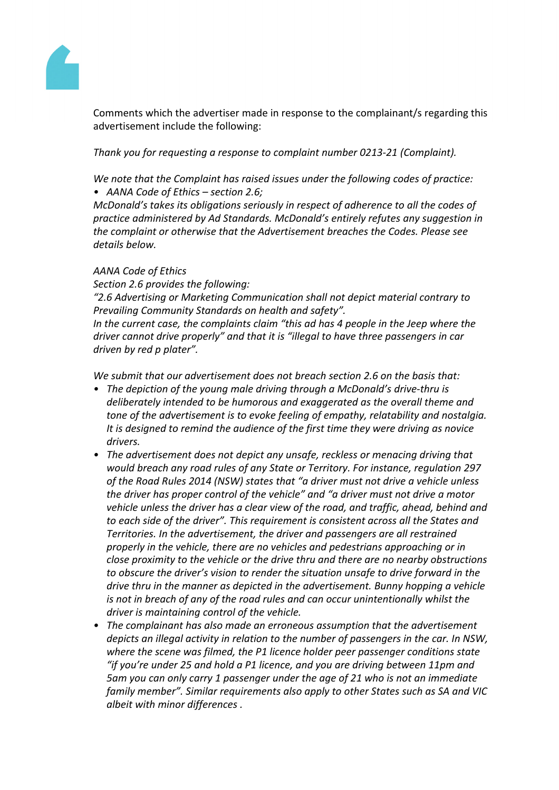

Comments which the advertiser made in response to the complainant/s regarding this advertisement include the following:

*Thank you for requesting a response to complaint number 0213-21 (Complaint).*

*We note that the Complaint has raised issues under the following codes of practice: • AANA Code of Ethics – section 2.6;*

*McDonald's takes its obligations seriously in respect of adherence to all the codes of practice administered by Ad Standards. McDonald's entirely refutes any suggestion in the complaint or otherwise that the Advertisement breaches the Codes. Please see details below.*

#### *AANA Code of Ethics*

*Section 2.6 provides the following:*

*"2.6 Advertising or Marketing Communication shall not depict material contrary to Prevailing Community Standards on health and safety".*

*In the current case, the complaints claim "this ad has 4 people in the Jeep where the driver cannot drive properly" and that it is "illegal to have three passengers in car driven by red p plater".*

*We submit that our advertisement does not breach section 2.6 on the basis that:*

- *• The depiction of the young male driving through a McDonald's drive-thru is deliberately intended to be humorous and exaggerated as the overall theme and tone of the advertisement is to evoke feeling of empathy, relatability and nostalgia. It is designed to remind the audience of the first time they were driving as novice drivers.*
- *• The advertisement does not depict any unsafe, reckless or menacing driving that would breach any road rules of any State or Territory. For instance, regulation 297 of the Road Rules 2014 (NSW) states that "a driver must not drive a vehicle unless the driver has proper control of the vehicle" and "a driver must not drive a motor vehicle unless the driver has a clear view of the road, and traffic, ahead, behind and to each side of the driver". This requirement is consistent across all the States and Territories. In the advertisement, the driver and passengers are all restrained properly in the vehicle, there are no vehicles and pedestrians approaching or in close proximity to the vehicle or the drive thru and there are no nearby obstructions to obscure the driver's vision to render the situation unsafe to drive forward in the drive thru in the manner as depicted in the advertisement. Bunny hopping a vehicle is not in breach of any of the road rules and can occur unintentionally whilst the driver is maintaining control of the vehicle.*
- *• The complainant has also made an erroneous assumption that the advertisement depicts an illegal activity in relation to the number of passengers in the car. In NSW, where the scene was filmed, the P1 licence holder peer passenger conditions state "if you're under 25 and hold a P1 licence, and you are driving between 11pm and 5am you can only carry 1 passenger under the age of 21 who is not an immediate family member". Similar requirements also apply to other States such as SA and VIC albeit with minor differences .*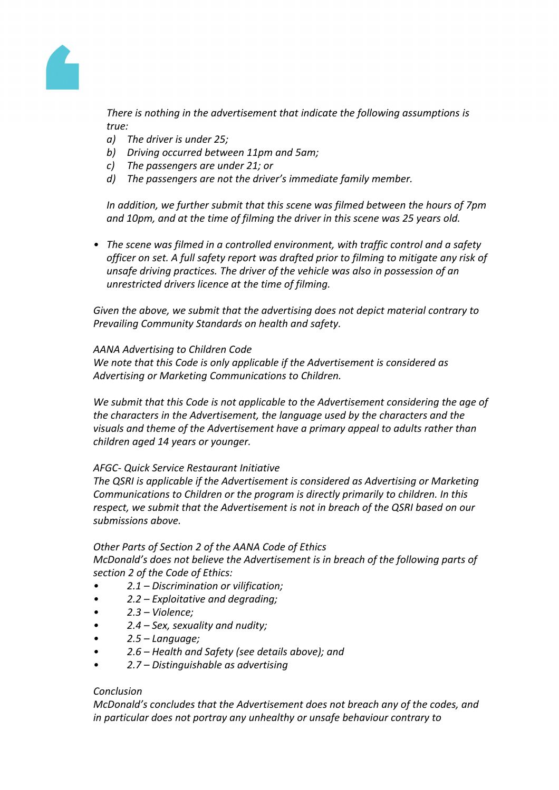

*There is nothing in the advertisement that indicate the following assumptions is true:*

- *a) The driver is under 25;*
- *b) Driving occurred between 11pm and 5am;*
- *c) The passengers are under 21; or*
- *d) The passengers are not the driver's immediate family member.*

*In addition, we further submit that this scene was filmed between the hours of 7pm and 10pm, and at the time of filming the driver in this scene was 25 years old.*

*• The scene was filmed in a controlled environment, with traffic control and a safety officer on set. A full safety report was drafted prior to filming to mitigate any risk of unsafe driving practices. The driver of the vehicle was also in possession of an unrestricted drivers licence at the time of filming.*

*Given the above, we submit that the advertising does not depict material contrary to Prevailing Community Standards on health and safety.*

## *AANA Advertising to Children Code*

*We note that this Code is only applicable if the Advertisement is considered as Advertising or Marketing Communications to Children.*

*We submit that this Code is not applicable to the Advertisement considering the age of the characters in the Advertisement, the language used by the characters and the visuals and theme of the Advertisement have a primary appeal to adults rather than children aged 14 years or younger.*

## *AFGC- Quick Service Restaurant Initiative*

*The QSRI is applicable if the Advertisement is considered as Advertising or Marketing Communications to Children or the program is directly primarily to children. In this respect, we submit that the Advertisement is not in breach of the QSRI based on our submissions above.*

## *Other Parts of Section 2 of the AANA Code of Ethics*

*McDonald's does not believe the Advertisement is in breach of the following parts of section 2 of the Code of Ethics:*

- *• 2.1 – Discrimination or vilification;*
- *• 2.2 – Exploitative and degrading;*
- *• 2.3 – Violence;*
- *• 2.4 – Sex, sexuality and nudity;*
- *• 2.5 – Language;*
- *• 2.6 – Health and Safety (see details above); and*
- *• 2.7 – Distinguishable as advertising*

#### *Conclusion*

*McDonald's concludes that the Advertisement does not breach any of the codes, and in particular does not portray any unhealthy or unsafe behaviour contrary to*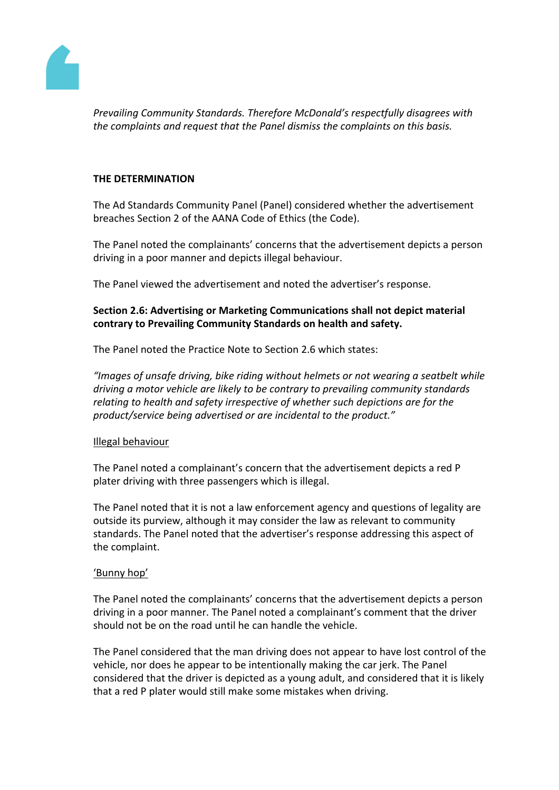

*Prevailing Community Standards. Therefore McDonald's respectfully disagrees with the complaints and request that the Panel dismiss the complaints on this basis.*

#### **THE DETERMINATION**

The Ad Standards Community Panel (Panel) considered whether the advertisement breaches Section 2 of the AANA Code of Ethics (the Code).

The Panel noted the complainants' concerns that the advertisement depicts a person driving in a poor manner and depicts illegal behaviour.

The Panel viewed the advertisement and noted the advertiser's response.

# **Section 2.6: Advertising or Marketing Communications shall not depict material contrary to Prevailing Community Standards on health and safety.**

The Panel noted the Practice Note to Section 2.6 which states:

*"Images of unsafe driving, bike riding without helmets or not wearing a seatbelt while driving a motor vehicle are likely to be contrary to prevailing community standards relating to health and safety irrespective of whether such depictions are for the product/service being advertised or are incidental to the product."*

## Illegal behaviour

The Panel noted a complainant's concern that the advertisement depicts a red P plater driving with three passengers which is illegal.

The Panel noted that it is not a law enforcement agency and questions of legality are outside its purview, although it may consider the law as relevant to community standards. The Panel noted that the advertiser's response addressing this aspect of the complaint.

## 'Bunny hop'

The Panel noted the complainants' concerns that the advertisement depicts a person driving in a poor manner. The Panel noted a complainant's comment that the driver should not be on the road until he can handle the vehicle.

The Panel considered that the man driving does not appear to have lost control of the vehicle, nor does he appear to be intentionally making the car jerk. The Panel considered that the driver is depicted as a young adult, and considered that it is likely that a red P plater would still make some mistakes when driving.